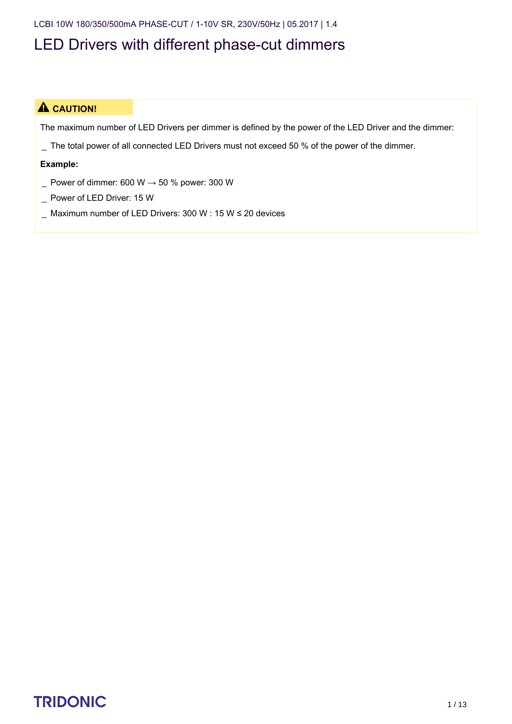LCBI 10W 180/350/500mA PHASE-CUT / 1-10V SR, 230V/50Hz | 05.2017 | 1.4

### LED Drivers with different phase-cut dimmers

#### $\triangle$  CAUTION!

The maximum number of LED Drivers per dimmer is defined by the power of the LED Driver and the dimmer:

\_ The total power of all connected LED Drivers must not exceed 50 % of the power of the dimmer.

#### **Example:**

- $\_$  Power of dimmer: 600 W  $\rightarrow$  50 % power: 300 W
- \_ Power of LED Driver: 15 W
- \_ Maximum number of LED Drivers: 300 W : 15 W ≤ 20 devices

# TRIDONIC 1/13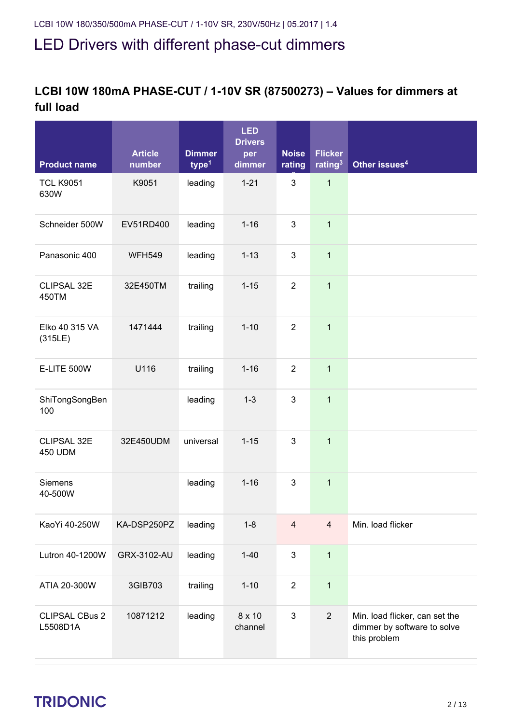#### **LCBI 10W 180mA PHASE-CUT / 1-10V SR (87500273) – Values for dimmers at full load**

| <b>Product name</b>               | <b>Article</b><br>number | <b>Dimmer</b><br>type <sup>1</sup> | <b>LED</b><br><b>Drivers</b><br>per<br>dimmer | <b>Noise</b><br>rating | <b>Flicker</b><br>rating <sup>3</sup> | Other issues <sup>4</sup>                                                     |
|-----------------------------------|--------------------------|------------------------------------|-----------------------------------------------|------------------------|---------------------------------------|-------------------------------------------------------------------------------|
| <b>TCL K9051</b><br>630W          | K9051                    | leading                            | $1 - 21$                                      | 3                      | $\mathbf{1}$                          |                                                                               |
| Schneider 500W                    | EV51RD400                | leading                            | $1 - 16$                                      | 3                      | $\mathbf{1}$                          |                                                                               |
| Panasonic 400                     | <b>WFH549</b>            | leading                            | $1 - 13$                                      | 3                      | $\mathbf{1}$                          |                                                                               |
| CLIPSAL 32E<br>450TM              | 32E450TM                 | trailing                           | $1 - 15$                                      | $\overline{2}$         | $\mathbf{1}$                          |                                                                               |
| Elko 40 315 VA<br>(315LE)         | 1471444                  | trailing                           | $1 - 10$                                      | $\overline{2}$         | $\mathbf{1}$                          |                                                                               |
| <b>E-LITE 500W</b>                | U116                     | trailing                           | $1 - 16$                                      | $\overline{2}$         | $\mathbf{1}$                          |                                                                               |
| ShiTongSongBen<br>100             |                          | leading                            | $1 - 3$                                       | 3                      | $\mathbf{1}$                          |                                                                               |
| CLIPSAL 32E<br><b>450 UDM</b>     | 32E450UDM                | universal                          | $1 - 15$                                      | 3                      | $\mathbf{1}$                          |                                                                               |
| Siemens<br>40-500W                |                          | leading                            | $1 - 16$                                      | 3                      | $\mathbf{1}$                          |                                                                               |
| KaoYi 40-250W                     | KA-DSP250PZ              | leading                            | $1 - 8$                                       | $\overline{4}$         | $\overline{4}$                        | Min. load flicker                                                             |
| Lutron 40-1200W                   | GRX-3102-AU              | leading                            | $1-40$                                        | 3                      | $\mathbf{1}$                          |                                                                               |
| ATIA 20-300W                      | 3GIB703                  | trailing                           | $1 - 10$                                      | $\overline{2}$         | $\mathbf{1}$                          |                                                                               |
| <b>CLIPSAL CBus 2</b><br>L5508D1A | 10871212                 | leading                            | 8 x 10<br>channel                             | 3                      | $\overline{2}$                        | Min. load flicker, can set the<br>dimmer by software to solve<br>this problem |

# $\begin{array}{ccc}\n\textbf{TRIDONIC} & & & & & \\
\textbf{TRIDONIC} & & & & & \\
\end{array}$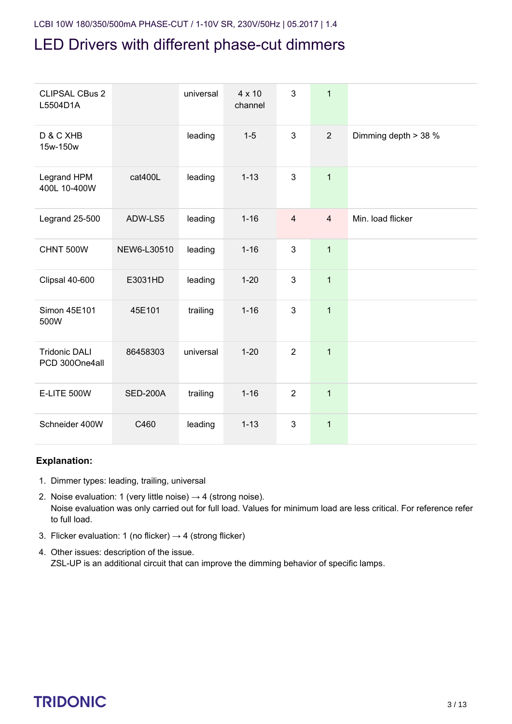| <b>CLIPSAL CBus 2</b><br>L5504D1A      |                 | universal | 4 x 10<br>channel | 3              | $\mathbf{1}$   |                      |
|----------------------------------------|-----------------|-----------|-------------------|----------------|----------------|----------------------|
| D & C XHB<br>15w-150w                  |                 | leading   | $1 - 5$           | 3              | 2              | Dimming depth > 38 % |
| Legrand HPM<br>400L 10-400W            | cat400L         | leading   | $1 - 13$          | 3              | $\mathbf{1}$   |                      |
| Legrand 25-500                         | ADW-LS5         | leading   | $1 - 16$          | $\overline{4}$ | $\overline{4}$ | Min. load flicker    |
| CHNT 500W                              | NEW6-L30510     | leading   | $1 - 16$          | 3              | $\mathbf{1}$   |                      |
| Clipsal 40-600                         | E3031HD         | leading   | $1 - 20$          | 3              | $\mathbf{1}$   |                      |
| Simon 45E101<br>500W                   | 45E101          | trailing  | $1 - 16$          | 3              | $\mathbf{1}$   |                      |
| <b>Tridonic DALI</b><br>PCD 300One4all | 86458303        | universal | $1 - 20$          | $\overline{2}$ | $\mathbf{1}$   |                      |
| E-LITE 500W                            | <b>SED-200A</b> | trailing  | $1 - 16$          | $\overline{2}$ | $\mathbf{1}$   |                      |
| Schneider 400W                         | C460            | leading   | $1 - 13$          | 3              | $\mathbf{1}$   |                      |

#### **Explanation:**

- 1. Dimmer types: leading, trailing, universal
- 2. Noise evaluation: 1 (very little noise)  $\rightarrow$  4 (strong noise). Noise evaluation was only carried out for full load. Values for minimum load are less critical. For reference refer to full load.
- 3. Flicker evaluation: 1 (no flicker)  $\rightarrow$  4 (strong flicker)
- 4. Other issues: description of the issue. ZSL-UP is an additional circuit that can improve the dimming behavior of specific lamps.

## $\begin{array}{ccc}\n\textbf{TRIDONIC} & & & & & & \\
\textbf{TRIDONIC} & & & & & & \\
\end{array}$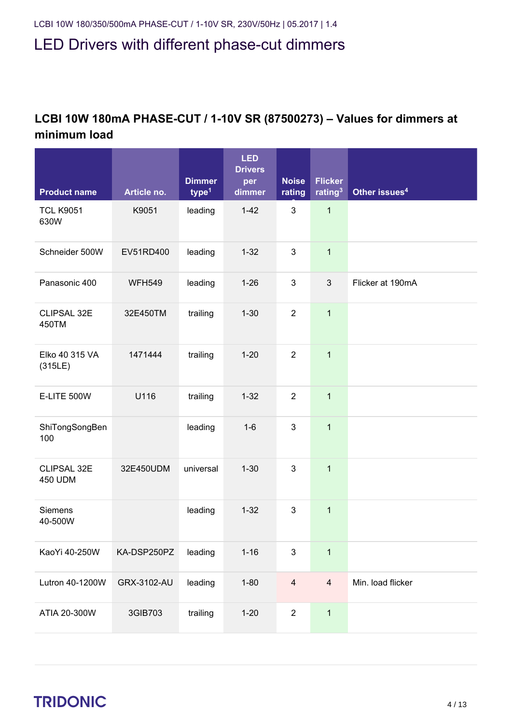#### **LCBI 10W 180mA PHASE-CUT / 1-10V SR (87500273) – Values for dimmers at minimum load**

|                               |               | <b>Dimmer</b>     | <b>LED</b><br><b>Drivers</b><br>per | <b>Noise</b>   | <b>Flicker</b>      |                           |
|-------------------------------|---------------|-------------------|-------------------------------------|----------------|---------------------|---------------------------|
| <b>Product name</b>           | Article no.   | type <sup>1</sup> | dimmer                              | rating         | rating <sup>3</sup> | Other issues <sup>4</sup> |
| <b>TCL K9051</b><br>630W      | K9051         | leading           | $1-42$                              | 3              | $\mathbf{1}$        |                           |
| Schneider 500W                | EV51RD400     | leading           | $1 - 32$                            | 3              | $\mathbf{1}$        |                           |
| Panasonic 400                 | <b>WFH549</b> | leading           | $1 - 26$                            | 3              | 3                   | Flicker at 190mA          |
| CLIPSAL 32E<br>450TM          | 32E450TM      | trailing          | $1 - 30$                            | $\overline{2}$ | $\mathbf{1}$        |                           |
| Elko 40 315 VA<br>(315LE)     | 1471444       | trailing          | $1 - 20$                            | $\overline{2}$ | $\overline{1}$      |                           |
| <b>E-LITE 500W</b>            | U116          | trailing          | $1 - 32$                            | $\overline{2}$ | $\mathbf{1}$        |                           |
| ShiTongSongBen<br>100         |               | leading           | $1 - 6$                             | 3              | $\mathbf{1}$        |                           |
| CLIPSAL 32E<br><b>450 UDM</b> | 32E450UDM     | universal         | $1 - 30$                            | 3              | $\mathbf{1}$        |                           |
| Siemens<br>40-500W            |               | leading           | $1 - 32$                            | 3              | $\mathbf{1}$        |                           |
| KaoYi 40-250W                 | KA-DSP250PZ   | leading           | $1 - 16$                            | 3              | $\mathbf{1}$        |                           |
| Lutron 40-1200W               | GRX-3102-AU   | leading           | $1 - 80$                            | $\overline{4}$ | $\overline{4}$      | Min. load flicker         |
| ATIA 20-300W                  | 3GIB703       | trailing          | $1 - 20$                            | $\overline{2}$ | $\mathbf{1}$        |                           |

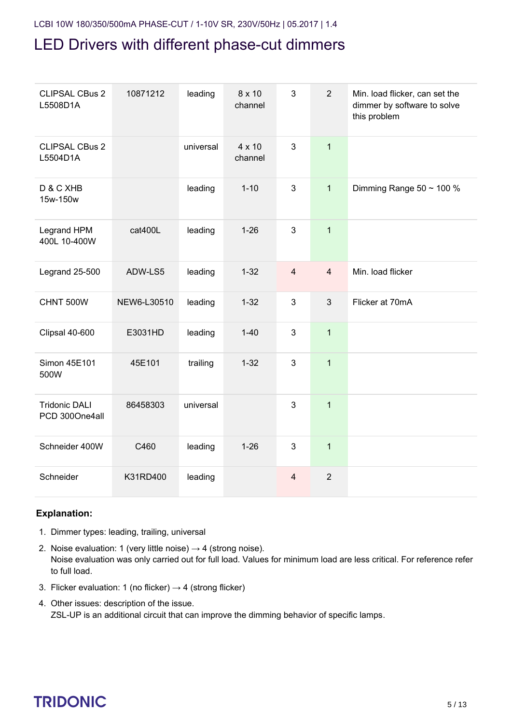| <b>CLIPSAL CBus 2</b><br>L5508D1A      | 10871212    | leading   | 8 x 10<br>channel | 3              | $\overline{2}$ | Min. load flicker, can set the<br>dimmer by software to solve<br>this problem |
|----------------------------------------|-------------|-----------|-------------------|----------------|----------------|-------------------------------------------------------------------------------|
| <b>CLIPSAL CBus 2</b><br>L5504D1A      |             | universal | 4 x 10<br>channel | 3              | $\mathbf{1}$   |                                                                               |
| D & C XHB<br>15w-150w                  |             | leading   | $1 - 10$          | 3              | $\mathbf{1}$   | Dimming Range $50 \sim 100 \%$                                                |
| Legrand HPM<br>400L 10-400W            | cat400L     | leading   | $1 - 26$          | 3              | $\mathbf{1}$   |                                                                               |
| Legrand 25-500                         | ADW-LS5     | leading   | $1 - 32$          | $\overline{4}$ | $\overline{4}$ | Min. load flicker                                                             |
| CHNT 500W                              | NEW6-L30510 | leading   | $1 - 32$          | 3              | $\mathfrak{Z}$ | Flicker at 70mA                                                               |
| Clipsal 40-600                         | E3031HD     | leading   | $1 - 40$          | 3              | $\mathbf{1}$   |                                                                               |
| Simon 45E101<br>500W                   | 45E101      | trailing  | $1 - 32$          | 3              | $\mathbf{1}$   |                                                                               |
| <b>Tridonic DALI</b><br>PCD 300One4all | 86458303    | universal |                   | 3              | $\mathbf{1}$   |                                                                               |
| Schneider 400W                         | C460        | leading   | $1 - 26$          | 3              | $\mathbf{1}$   |                                                                               |
| Schneider                              | K31RD400    | leading   |                   | $\overline{4}$ | $\overline{2}$ |                                                                               |

#### **Explanation:**

- 1. Dimmer types: leading, trailing, universal
- 2. Noise evaluation: 1 (very little noise)  $\rightarrow$  4 (strong noise). Noise evaluation was only carried out for full load. Values for minimum load are less critical. For reference refer to full load.
- 3. Flicker evaluation: 1 (no flicker)  $\rightarrow$  4 (strong flicker)
- 4. Other issues: description of the issue. ZSL-UP is an additional circuit that can improve the dimming behavior of specific lamps.

# $\begin{array}{ccc}\n\textbf{TRIDONIC} & & & & \\
\textbf{5/13} & & & & \\
\end{array}$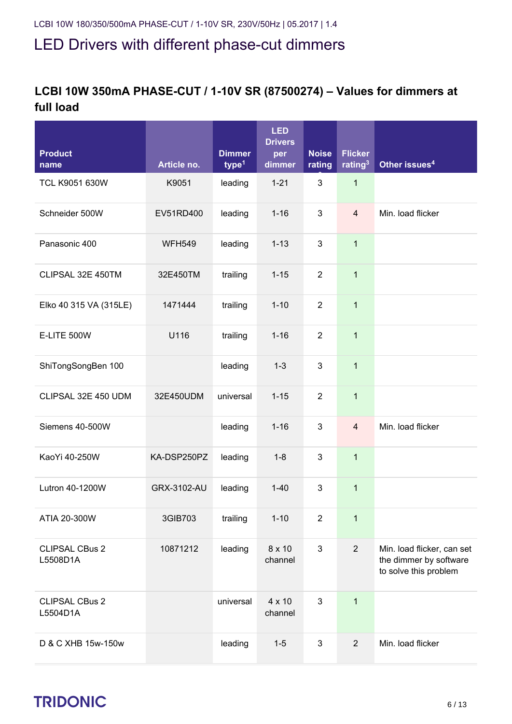#### **LCBI 10W 350mA PHASE-CUT / 1-10V SR (87500274) – Values for dimmers at full load**

| Product<br>name                   | Article no.   | <b>Dimmer</b><br>type <sup>1</sup> | <b>LED</b><br><b>Drivers</b><br>per<br>dimmer | <b>Noise</b><br>rating | <b>Flicker</b><br>rating <sup>3</sup> | Other issues <sup>4</sup>                                                     |
|-----------------------------------|---------------|------------------------------------|-----------------------------------------------|------------------------|---------------------------------------|-------------------------------------------------------------------------------|
| TCL K9051 630W                    | K9051         | leading                            | $1 - 21$                                      | 3                      | $\mathbf{1}$                          |                                                                               |
| Schneider 500W                    | EV51RD400     | leading                            | $1 - 16$                                      | 3                      | $\overline{\mathbf{4}}$               | Min. load flicker                                                             |
| Panasonic 400                     | <b>WFH549</b> | leading                            | $1 - 13$                                      | 3                      | 1                                     |                                                                               |
| CLIPSAL 32E 450TM                 | 32E450TM      | trailing                           | $1 - 15$                                      | $\overline{2}$         | $\mathbf 1$                           |                                                                               |
| Elko 40 315 VA (315LE)            | 1471444       | trailing                           | $1 - 10$                                      | $\overline{2}$         | $\mathbf{1}$                          |                                                                               |
| E-LITE 500W                       | U116          | trailing                           | $1 - 16$                                      | $\overline{2}$         | 1                                     |                                                                               |
| ShiTongSongBen 100                |               | leading                            | $1 - 3$                                       | 3                      | $\mathbf{1}$                          |                                                                               |
| CLIPSAL 32E 450 UDM               | 32E450UDM     | universal                          | $1 - 15$                                      | $\overline{2}$         | $\mathbf{1}$                          |                                                                               |
| Siemens 40-500W                   |               | leading                            | $1 - 16$                                      | 3                      | $\overline{\mathbf{4}}$               | Min. load flicker                                                             |
| KaoYi 40-250W                     | KA-DSP250PZ   | leading                            | $1 - 8$                                       | 3                      | $\mathbf 1$                           |                                                                               |
| Lutron 40-1200W                   | GRX-3102-AU   | leading                            | $1 - 40$                                      | 3                      | 1                                     |                                                                               |
| ATIA 20-300W                      | 3GIB703       | trailing                           | $1 - 10$                                      | $\overline{2}$         | $\mathbf{1}$                          |                                                                               |
| <b>CLIPSAL CBus 2</b><br>L5508D1A | 10871212      | leading                            | 8 x 10<br>channel                             | 3                      | $\overline{2}$                        | Min. load flicker, can set<br>the dimmer by software<br>to solve this problem |
| <b>CLIPSAL CBus 2</b><br>L5504D1A |               | universal                          | $4 \times 10$<br>channel                      | 3                      | $\mathbf{1}$                          |                                                                               |
| D & C XHB 15w-150w                |               | leading                            | $1 - 5$                                       | 3                      | $\overline{2}$                        | Min. load flicker                                                             |

# $\begin{array}{ccc}\n\hline\n\text{TRIDONIC} & & & & \\
\hline\n\end{array}\n\quad\n\begin{array}{ccc}\n\text{CRIDONIC} & & & \\
\hline\n\end{array}\n\quad\n\begin{array}{ccc}\n\text{CRIDONIC} & & \\
\hline\n\end{array}\n\quad\n\begin{array}{ccc}\n\text{CRIDONIC} & & \\
\hline\n\end{array}\n\quad\n\begin{array}{ccc}\n\text{CRIDONIC} & & \\
\hline\n\end{array}\n\quad\n\begin{array}{ccc}\n\text{CRIDONIC} & & \\
\hline\n$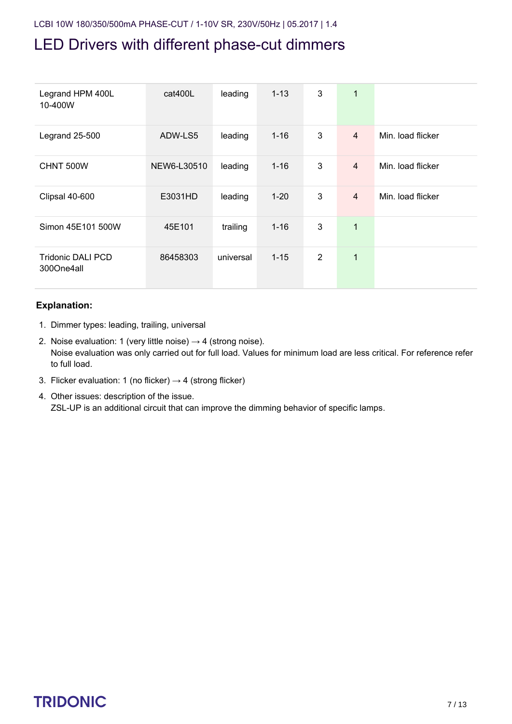| Legrand HPM 400L<br>10-400W            | cat400L     | leading   | $1 - 13$ | 3              | 1              |                   |
|----------------------------------------|-------------|-----------|----------|----------------|----------------|-------------------|
| Legrand 25-500                         | ADW-LS5     | leading   | $1 - 16$ | 3              | 4              | Min. load flicker |
| CHNT 500W                              | NEW6-L30510 | leading   | $1 - 16$ | 3              | $\overline{4}$ | Min. load flicker |
| Clipsal 40-600                         | E3031HD     | leading   | $1 - 20$ | 3              | $\overline{4}$ | Min. load flicker |
| Simon 45E101 500W                      | 45E101      | trailing  | $1 - 16$ | 3              | 1              |                   |
| <b>Tridonic DALI PCD</b><br>300One4all | 86458303    | universal | $1 - 15$ | $\overline{2}$ | 1              |                   |

#### **Explanation:**

- 1. Dimmer types: leading, trailing, universal
- 2. Noise evaluation: 1 (very little noise)  $\rightarrow$  4 (strong noise). Noise evaluation was only carried out for full load. Values for minimum load are less critical. For reference refer to full load.
- 3. Flicker evaluation: 1 (no flicker)  $\rightarrow$  4 (strong flicker)
- 4. Other issues: description of the issue. ZSL-UP is an additional circuit that can improve the dimming behavior of specific lamps.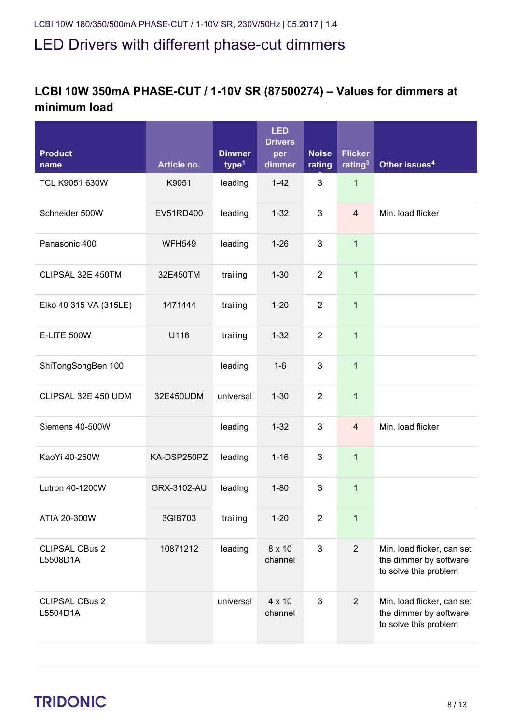#### **LCBI 10W 350mA PHASE-CUT / 1-10V SR (87500274) – Values for dimmers at minimum load**

| <b>Product</b><br>name            | Article no.   | <b>Dimmer</b><br>type <sup>1</sup> | <b>LED</b><br><b>Drivers</b><br>per<br>dimmer | <b>Noise</b><br>rating | <b>Flicker</b><br>rating <sup>3</sup> | Other issues <sup>4</sup>                                                     |
|-----------------------------------|---------------|------------------------------------|-----------------------------------------------|------------------------|---------------------------------------|-------------------------------------------------------------------------------|
| TCL K9051 630W                    | K9051         | leading                            | $1-42$                                        | 3                      | $\mathbf 1$                           |                                                                               |
| Schneider 500W                    | EV51RD400     | leading                            | $1 - 32$                                      | 3                      | $\overline{4}$                        | Min. load flicker                                                             |
| Panasonic 400                     | <b>WFH549</b> | leading                            | $1 - 26$                                      | 3                      | $\mathbf{1}$                          |                                                                               |
| CLIPSAL 32E 450TM                 | 32E450TM      | trailing                           | $1 - 30$                                      | $\overline{2}$         | $\mathbf{1}$                          |                                                                               |
| Elko 40 315 VA (315LE)            | 1471444       | trailing                           | $1 - 20$                                      | $\overline{2}$         | $\mathbf{1}$                          |                                                                               |
| E-LITE 500W                       | U116          | trailing                           | $1 - 32$                                      | $\overline{2}$         | $\mathbf 1$                           |                                                                               |
| ShiTongSongBen 100                |               | leading                            | $1-6$                                         | 3                      | $\mathbf{1}$                          |                                                                               |
| CLIPSAL 32E 450 UDM               | 32E450UDM     | universal                          | $1 - 30$                                      | $\overline{2}$         | $\mathbf 1$                           |                                                                               |
| Siemens 40-500W                   |               | leading                            | $1 - 32$                                      | 3                      | $\overline{4}$                        | Min. load flicker                                                             |
| KaoYi 40-250W                     | KA-DSP250PZ   | leading                            | $1 - 16$                                      | 3                      | $\mathbf{1}$                          |                                                                               |
| Lutron 40-1200W                   | GRX-3102-AU   | leading                            | $1 - 80$                                      | 3                      | $\mathbf{1}$                          |                                                                               |
| ATIA 20-300W                      | 3GIB703       | trailing                           | $1 - 20$                                      | $\overline{2}$         | $\mathbf{1}$                          |                                                                               |
| <b>CLIPSAL CBus 2</b><br>L5508D1A | 10871212      | leading                            | 8 x 10<br>channel                             | 3                      | $\overline{2}$                        | Min. load flicker, can set<br>the dimmer by software<br>to solve this problem |
| <b>CLIPSAL CBus 2</b><br>L5504D1A |               | universal                          | 4 x 10<br>channel                             | 3                      | 2                                     | Min. load flicker, can set<br>the dimmer by software<br>to solve this problem |

# $\begin{array}{ccc}\n\textbf{TRIDONIC} & & & & & \\
\textbf{TRIDONIC} & & & & & \\
\end{array}$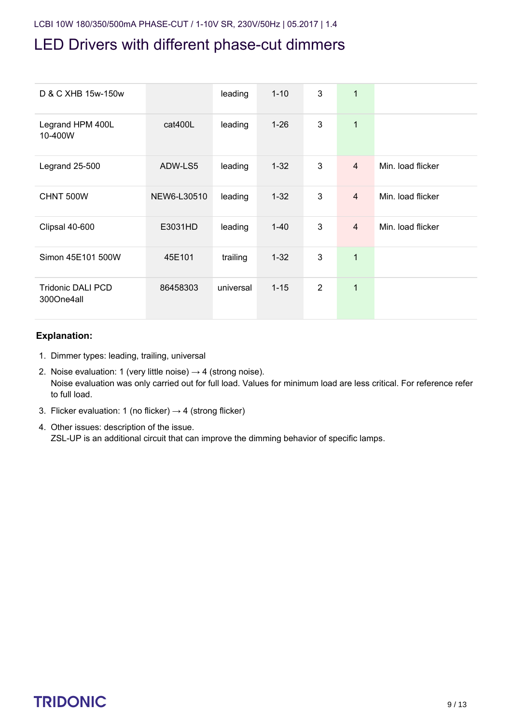| D & C XHB 15w-150w                     |             | leading   | $1 - 10$ | 3              | $\mathbf{1}$   |                   |
|----------------------------------------|-------------|-----------|----------|----------------|----------------|-------------------|
| Legrand HPM 400L<br>10-400W            | cat400L     | leading   | $1 - 26$ | 3              | $\mathbf{1}$   |                   |
| Legrand 25-500                         | ADW-LS5     | leading   | $1 - 32$ | 3              | $\overline{4}$ | Min. load flicker |
| CHNT 500W                              | NEW6-L30510 | leading   | $1 - 32$ | 3              | $\overline{4}$ | Min. load flicker |
| Clipsal 40-600                         | E3031HD     | leading   | $1 - 40$ | 3              | $\overline{4}$ | Min. load flicker |
| Simon 45E101 500W                      | 45E101      | trailing  | $1 - 32$ | 3              | $\overline{1}$ |                   |
| <b>Tridonic DALI PCD</b><br>300One4all | 86458303    | universal | $1 - 15$ | $\overline{2}$ | $\mathbf{1}$   |                   |

#### **Explanation:**

- 1. Dimmer types: leading, trailing, universal
- 2. Noise evaluation: 1 (very little noise)  $\rightarrow$  4 (strong noise). Noise evaluation was only carried out for full load. Values for minimum load are less critical. For reference refer to full load.
- 3. Flicker evaluation: 1 (no flicker)  $\rightarrow$  4 (strong flicker)
- 4. Other issues: description of the issue. ZSL-UP is an additional circuit that can improve the dimming behavior of specific lamps.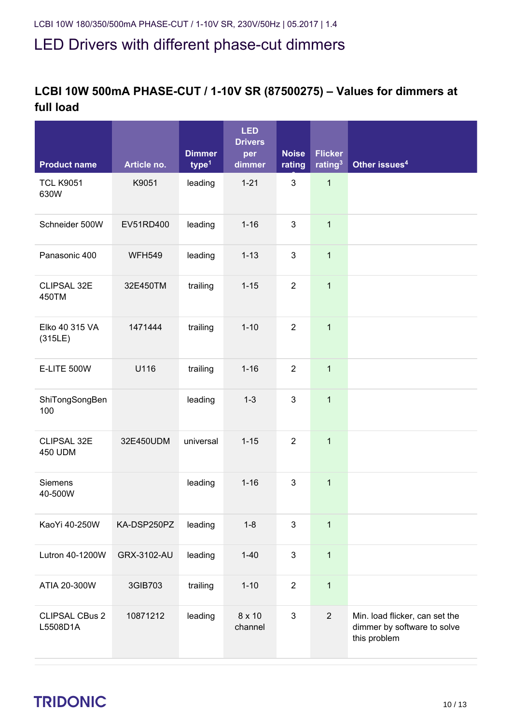#### **LCBI 10W 500mA PHASE-CUT / 1-10V SR (87500275) – Values for dimmers at full load**

| <b>Product name</b>               | Article no.   | <b>Dimmer</b><br>type <sup>1</sup> | <b>LED</b><br><b>Drivers</b><br>per<br>dimmer | <b>Noise</b><br>rating | <b>Flicker</b><br>rating <sup>3</sup> | Other issues <sup>4</sup>                                                     |
|-----------------------------------|---------------|------------------------------------|-----------------------------------------------|------------------------|---------------------------------------|-------------------------------------------------------------------------------|
| <b>TCL K9051</b><br>630W          | K9051         | leading                            | $1 - 21$                                      | 3                      | $\mathbf{1}$                          |                                                                               |
| Schneider 500W                    | EV51RD400     | leading                            | $1 - 16$                                      | 3                      | $\mathbf{1}$                          |                                                                               |
| Panasonic 400                     | <b>WFH549</b> | leading                            | $1 - 13$                                      | 3                      | $\mathbf{1}$                          |                                                                               |
| CLIPSAL 32E<br>450TM              | 32E450TM      | trailing                           | $1 - 15$                                      | $\overline{2}$         | $\mathbf{1}$                          |                                                                               |
| Elko 40 315 VA<br>(315LE)         | 1471444       | trailing                           | $1 - 10$                                      | $\overline{2}$         | $\mathbf{1}$                          |                                                                               |
| <b>E-LITE 500W</b>                | U116          | trailing                           | $1 - 16$                                      | $\overline{2}$         | $\mathbf{1}$                          |                                                                               |
| ShiTongSongBen<br>100             |               | leading                            | $1 - 3$                                       | 3                      | $\mathbf{1}$                          |                                                                               |
| CLIPSAL 32E<br><b>450 UDM</b>     | 32E450UDM     | universal                          | $1 - 15$                                      | $\overline{2}$         | $\mathbf{1}$                          |                                                                               |
| Siemens<br>40-500W                |               | leading                            | $1 - 16$                                      | 3                      | $\mathbf{1}$                          |                                                                               |
| KaoYi 40-250W                     | KA-DSP250PZ   | leading                            | $1 - 8$                                       | 3                      | $\mathbf{1}$                          |                                                                               |
| Lutron 40-1200W                   | GRX-3102-AU   | leading                            | $1 - 40$                                      | $\mathfrak{S}$         | $\mathbf{1}$                          |                                                                               |
| ATIA 20-300W                      | 3GIB703       | trailing                           | $1 - 10$                                      | $\overline{2}$         | $\mathbf{1}$                          |                                                                               |
| <b>CLIPSAL CBus 2</b><br>L5508D1A | 10871212      | leading                            | $8 \times 10$<br>channel                      | 3                      | $\overline{2}$                        | Min. load flicker, can set the<br>dimmer by software to solve<br>this problem |

# TRIDONIC 10/13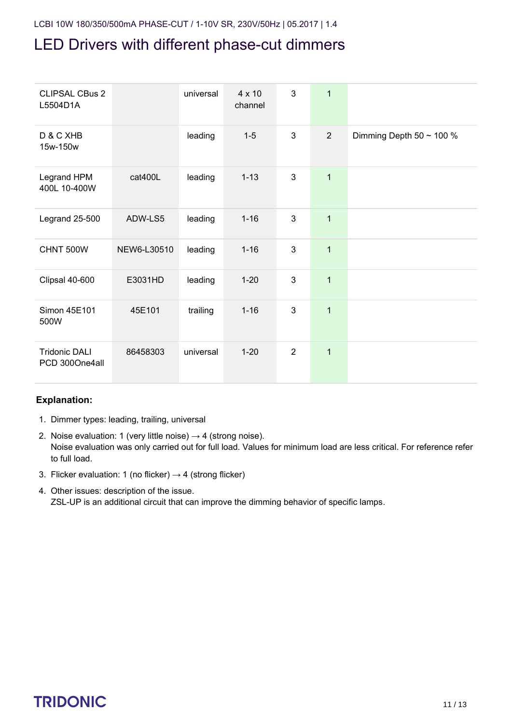| <b>CLIPSAL CBus 2</b><br>L5504D1A      |             | universal | 4 x 10<br>channel | 3              | $\mathbf 1$    |                               |
|----------------------------------------|-------------|-----------|-------------------|----------------|----------------|-------------------------------|
| D & C XHB<br>15w-150w                  |             | leading   | $1-5$             | 3              | $\overline{2}$ | Dimming Depth 50 $\sim$ 100 % |
| Legrand HPM<br>400L 10-400W            | cat400L     | leading   | $1 - 13$          | 3              | $\overline{1}$ |                               |
| Legrand 25-500                         | ADW-LS5     | leading   | $1 - 16$          | 3              | $\mathbf{1}$   |                               |
| CHNT 500W                              | NEW6-L30510 | leading   | $1 - 16$          | $\mathbf{3}$   | $\overline{1}$ |                               |
| Clipsal 40-600                         | E3031HD     | leading   | $1 - 20$          | 3              | $\overline{1}$ |                               |
| Simon 45E101<br>500W                   | 45E101      | trailing  | $1 - 16$          | 3              | $\overline{1}$ |                               |
| <b>Tridonic DALI</b><br>PCD 300One4all | 86458303    | universal | $1 - 20$          | $\overline{2}$ | $\mathbf{1}$   |                               |

#### **Explanation:**

- 1. Dimmer types: leading, trailing, universal
- 2. Noise evaluation: 1 (very little noise)  $\rightarrow$  4 (strong noise). Noise evaluation was only carried out for full load. Values for minimum load are less critical. For reference refer to full load.
- 3. Flicker evaluation: 1 (no flicker)  $\rightarrow$  4 (strong flicker)
- 4. Other issues: description of the issue. ZSL-UP is an additional circuit that can improve the dimming behavior of specific lamps.

## TRIDONIC 11/13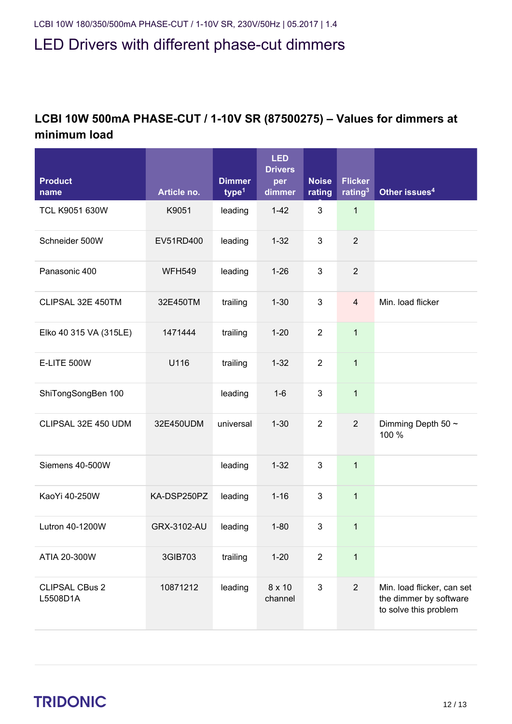#### **LCBI 10W 500mA PHASE-CUT / 1-10V SR (87500275) – Values for dimmers at minimum load**

| <b>Product</b><br>name            | Article no.   | <b>Dimmer</b><br>type <sup>1</sup> | <b>LED</b><br><b>Drivers</b><br>per<br>dimmer | <b>Noise</b><br>rating | <b>Flicker</b><br>rating <sup>3</sup> | Other issues <sup>4</sup>                                                     |
|-----------------------------------|---------------|------------------------------------|-----------------------------------------------|------------------------|---------------------------------------|-------------------------------------------------------------------------------|
| TCL K9051 630W                    | K9051         | leading                            | $1 - 42$                                      | 3                      | $\mathbf{1}$                          |                                                                               |
| Schneider 500W                    | EV51RD400     | leading                            | $1 - 32$                                      | 3                      | $\overline{2}$                        |                                                                               |
| Panasonic 400                     | <b>WFH549</b> | leading                            | $1 - 26$                                      | 3                      | $\overline{2}$                        |                                                                               |
| CLIPSAL 32E 450TM                 | 32E450TM      | trailing                           | $1 - 30$                                      | 3                      | $\overline{4}$                        | Min. load flicker                                                             |
| Elko 40 315 VA (315LE)            | 1471444       | trailing                           | $1 - 20$                                      | $\overline{2}$         | $\mathbf{1}$                          |                                                                               |
| <b>E-LITE 500W</b>                | U116          | trailing                           | $1 - 32$                                      | $\overline{2}$         | $\mathbf{1}$                          |                                                                               |
| ShiTongSongBen 100                |               | leading                            | $1 - 6$                                       | 3                      | $\mathbf{1}$                          |                                                                               |
| CLIPSAL 32E 450 UDM               | 32E450UDM     | universal                          | $1 - 30$                                      | $\overline{2}$         | $\mathbf{2}$                          | Dimming Depth 50 ~<br>100 %                                                   |
| Siemens 40-500W                   |               | leading                            | $1 - 32$                                      | 3                      | $\mathbf{1}$                          |                                                                               |
| KaoYi 40-250W                     | KA-DSP250PZ   | leading                            | $1 - 16$                                      | 3                      | $\mathbf 1$                           |                                                                               |
| Lutron 40-1200W                   | GRX-3102-AU   | leading                            | $1 - 80$                                      | 3                      | $\mathbf{1}$                          |                                                                               |
| ATIA 20-300W                      | 3GIB703       | trailing                           | $1 - 20$                                      | $\overline{2}$         | $\mathbf{1}$                          |                                                                               |
| <b>CLIPSAL CBus 2</b><br>L5508D1A | 10871212      | leading                            | 8 x 10<br>channel                             | $\mathfrak{Z}$         | $\overline{2}$                        | Min. load flicker, can set<br>the dimmer by software<br>to solve this problem |

# TRIDONIC 12/13